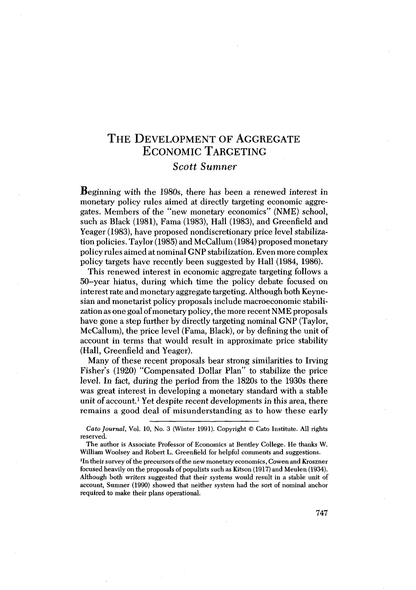# THE DEVELOPMENT OF AGGREGATE **ECONOMIC TARGETING** Scott Sumner

**B**eginning with the 1980s, there has been a renewed interest in monetary policy rules aimed at directly targeting economic aggregates. Members of the "new monetary economics" (NME) school, such as Black (1981). Fama (1983). Hall (1983), and Greenfield and Yeager (1983), have proposed nondiscretionary price level stabilization policies. Taylor (1985) and McCallum (1984) proposed monetary policy rules aimed at nominal GNP stabilization. Even more complex policy targets have recently been suggested by Hall (1984, 1986).

This renewed interest in economic aggregate targeting follows a 50-year hiatus, during which time the policy debate focused on interest rate and monetary aggregate targeting. Although both Keynesian and monetarist policy proposals include macroeconomic stabilization as one goal of monetary policy, the more recent NME proposals have gone a step further by directly targeting nominal GNP (Taylor, McCallum), the price level (Fama, Black), or by defining the unit of account in terms that would result in approximate price stability (Hall, Greenfield and Yeager).

Many of these recent proposals bear strong similarities to Irving Fisher's (1920) "Compensated Dollar Plan" to stabilize the price level. In fact, during the period from the 1820s to the 1930s there was great interest in developing a monetary standard with a stable unit of account.<sup>1</sup> Yet despite recent developments in this area, there remains a good deal of misunderstanding as to how these early

<sup>1</sup>In their survey of the precursors of the new monetary economics, Cowen and Kroszner focused heavily on the proposals of populists such as Kitson (1917) and Meulen (1934). Although both writers suggested that their systems would result in a stable unit of account, Sumner (1990) showed that neither system had the sort of nominal anchor required to make their plans operational.

Cato Journal, Vol. 10, No. 3 (Winter 1991). Copyright © Cato Institute. All rights reserved.

The author is Associate Professor of Economics at Bentley College. He thanks W. William Woolsey and Robert L. Greenfield for helpful comments and suggestions.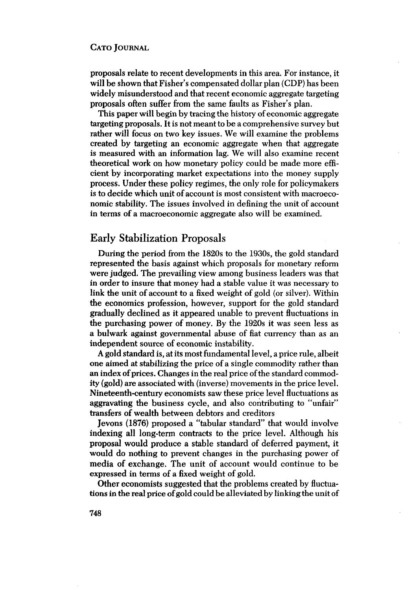proposals relate to recent developments in this area. For instance, it will be shown that Fisher's compensated dollar plan (CDP) has been widely misunderstood and that recent economic aggregate targeting proposals often suffer from the same faults as Fisher's plan.

This paper will begin by tracing the history of economic aggregate targeting proposals. It is not meant to be a comprehensive survey but rather will focus on two key issues. We will examine the problems created by targeting an economic aggregate when that aggregate is measured with an information lag. We will also examine recent theoretical work on how monetary policy could be made more efficient by incorporating market expectations into the money supply process. Under these policy regimes, the only role for policymakers is to decide which unit of account is most consistent with macroeconomic stability. The issues involved in defining the unit of account in terms of a macroeconomic aggregate also will be examined.

# **Early Stabilization Proposals**

During the period from the 1820s to the 1930s, the gold standard represented the basis against which proposals for monetary reform were judged. The prevailing view among business leaders was that in order to insure that money had a stable value it was necessary to link the unit of account to a fixed weight of gold (or silver). Within the economics profession, however, support for the gold standard gradually declined as it appeared unable to prevent fluctuations in the purchasing power of money. By the 1920s it was seen less as a bulwark against governmental abuse of flat currency than as an independent source of economic instability.

A gold standard is, at its most fundamental level, a price rule, albeit one aimed at stabilizing the price of a single commodity rather than an index of prices. Changes in the real price of the standard commodity (gold) are associated with (inverse) movements in the price level. Nineteenth-century economists saw these price level fluctuations as aggravating the business cycle, and also contributing to "unfair" transfers of wealth between debtors and creditors

Jevons (1876) proposed a "tabular standard" that would involve indexing all long-term contracts to the price level. Although his proposal would produce a stable standard of deferred payment, it would do nothing to prevent changes in the purchasing power of media of exchange. The unit of account would continue to be expressed in terms of a fixed weight of gold.

Other economists suggested that the problems created by fluctuations in the real price of gold could be alleviated by linking the unit of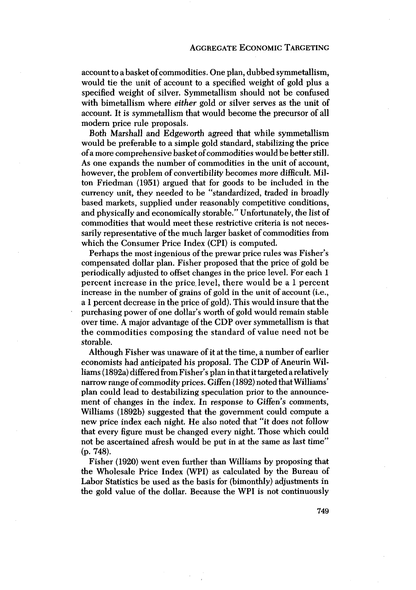account to a basket of commodities. One plan, dubbed symmetallism, would tie the unit of account to a specified weight of gold plus a specified weight of silver. Symmetallism should not be confused with bimetallism where *either* gold or silver serves as the unit of account. It is symmetallism that would become the precursor of all modern price rule proposals.

Both Marshall and Edgeworth agreed that while symmetallism would be preferable to a simple gold standard, stabilizing the price of a more comprehensive basket of commodities would be better still. As one expands the number of commodities in the unit of account,however, the problem of convertibility becomes more difficult. Milton Friedman (1951) argued that for goods to be included in the currency unit, they needed to be "standardized, traded in broadly based markets, supplied under reasonably competitive conditions, and physically and economically storable." Unfortunately, the list of commodities that would meet these restrictive criteria is not necessarily representative of the much larger basket of commodities from which the Consumer Price Index (CPI) is computed.

Perhaps the most ingenious of the prewar price rules was Fisher's compensated dollar plan. Fisher proposed that the price of gold be periodically adjusted to offset changes in the price level. For each 1 percent increase in the price level, there would be a 1 percent increase in the number of grains of gold in the unit of account (i.e., a 1 percent decrease in the price of gold). This would insure that the purchasing power of one dollar's worth of gold would remain stable over time. A major advantage of the CDP over symmetallism is that the commodities composing the standard of value need not be storable.

Although Fisher was unaware of it at the time, a number of earlier economists had anticipated his proposal. The CDP of Aneurin Williams (1892a) differed from Fisher's plan in that it targeted a relatively narrow range of commodity prices. Giffen (1892) noted that Williams' plan could lead to destabilizing speculation prior to the announcement of changes in the index. In response to Giffen's comments, Williams (1892b) suggested that the government could compute a new price index each night. He also noted that "it does not follow that every figure must be changed every night. Those which could not be ascertained afresh would be put in at the same as last time"  $(p. 748)$ .

Fisher (1920) went even further than Williams by proposing that the Wholesale Price Index (WPI) as calculated by the Bureau of Labor Statistics be used as the basis for (bimonthly) adjustments in the gold value of the dollar. Because the WPI is not continuously

749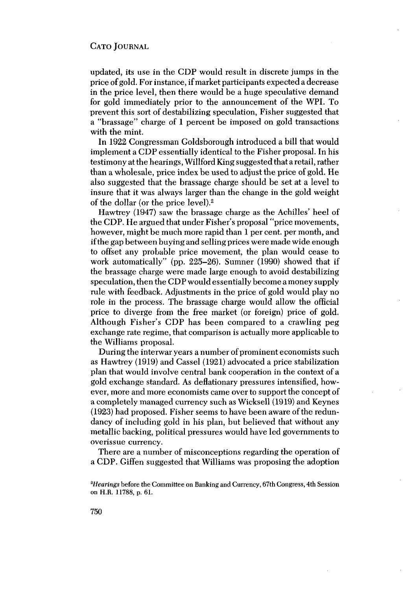updated, its use in the CDP would result in discrete jumps in the price of gold. For instance, if market participants expected a decrease in the price level, then there would be a huge speculative demand for gold immediately prior to the announcement of the WPI. To prevent this sort of destabilizing speculation, Fisher suggested that a "brassage" charge of 1 percent be imposed on gold transactions with the mint.

In 1922 Congressman Goldsborough introduced a bill that would implement a CDP essentially identical to the Fisher proposal. In his testimony at the hearings, Willford King suggested that a retail, rather than a wholesale, price index be used to adjust the price of gold. He also suggested that the brassage charge should be set at a level to insure that it was always larger than the change in the gold weight of the dollar (or the price level).<sup>2</sup>

Hawtrey (1947) saw the brassage charge as the Achilles' heel of the CDP. He argued that under Fisher's proposal "price movements, however, might be much more rapid than 1 per cent. per month, and if the gap between buying and selling prices were made wide enough to offset any probable price movement, the plan would cease to work automatically" (pp. 225–26). Sumner (1990) showed that if the brassage charge were made large enough to avoid destabilizing speculation, then the CDP would essentially become a money supply rule with feedback. Adjustments in the price of gold would play no role in the process. The brassage charge would allow the official price to diverge from the free market (or foreign) price of gold. Although Fisher's CDP has been compared to a crawling peg exchange rate regime, that comparison is actually more applicable to the Williams proposal.

During the interwar years a number of prominent economists such as Hawtrey (1919) and Cassel (1921) advocated a price stabilization plan that would involve central bank cooperation in the context of a gold exchange standard. As deflationary pressures intensified, however, more and more economists came over to support the concept of a completely managed currency such as Wicksell (1919) and Keynes (1923) had proposed. Fisher seems to have been aware of the redundancy of including gold in his plan, but believed that without any metallic backing, political pressures would have led governments to overissue currency.

There are a number of misconceptions regarding the operation of a CDP. Giffen suggested that Williams was proposing the adoption

<sup>&</sup>lt;sup>2</sup>Hearings before the Committee on Banking and Currency, 67th Congress, 4th Session on H.R. 11788, p. 61.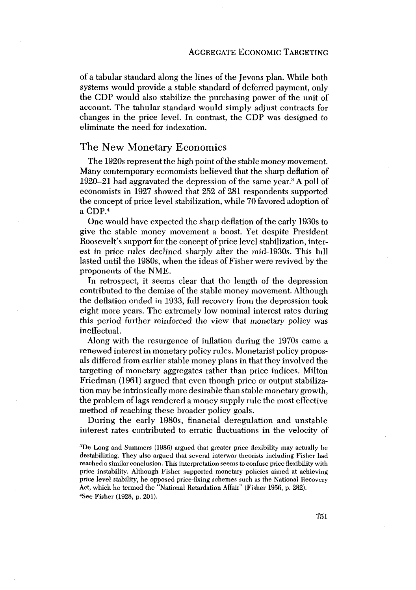of a tabular standard along the lines of the Jevons plan. While both systems would provide a stable standard of deferred payment, only the CDP would also stabilize the purchasing power of the unit of account. The tabular standard would simply adjust contracts for changes in the price level. In contrast, the CDP was designed to eliminate the need for indexation.

## The New Monetary Economics

The 1920s represent the high point of the stable money movement. Many contemporary economists believed that the sharp deflation of 1920–21 had aggravated the depression of the same year.<sup>3</sup> A poll of economists in 1927 showed that 252 of 281 respondents supported the concept of price level stabilization, while 70 favored adoption of a CDP.<sup>4</sup>

One would have expected the sharp deflation of the early 1930s to give the stable money movement a boost. Yet despite President Roosevelt's support for the concept of price level stabilization, interest in price rules declined sharply after the mid-1930s. This lull lasted until the 1980s, when the ideas of Fisher were revived by the proponents of the NME.

In retrospect, it seems clear that the length of the depression contributed to the demise of the stable money movement. Although the deflation ended in 1933, full recovery from the depression took eight more years. The extremely low nominal interest rates during this period further reinforced the view that monetary policy was ineffectual.

Along with the resurgence of inflation during the 1970s came a renewed interest in monetary policy rules. Monetarist policy proposals differed from earlier stable money plans in that they involved the targeting of monetary aggregates rather than price indices. Milton Friedman (1961) argued that even though price or output stabilization may be intrinsically more desirable than stable monetary growth. the problem of lags rendered a money supply rule the most effective method of reaching these broader policy goals.

During the early 1980s, financial deregulation and unstable interest rates contributed to erratic fluctuations in the velocity of

<sup>&</sup>lt;sup>3</sup>De Long and Summers (1986) argued that greater price flexibility may actually be destabilizing. They also argued that several interwar theorists including Fisher had reached a similar conclusion. This interpretation seems to confuse price flexibility with price instability. Although Fisher supported monetary policies aimed at achieving price level stability, he opposed price-fixing schemes such as the National Recovery Act, which he termed the "National Retardation Affair" (Fisher 1956, p. 282). <sup>4</sup>See Fisher (1928, p. 201).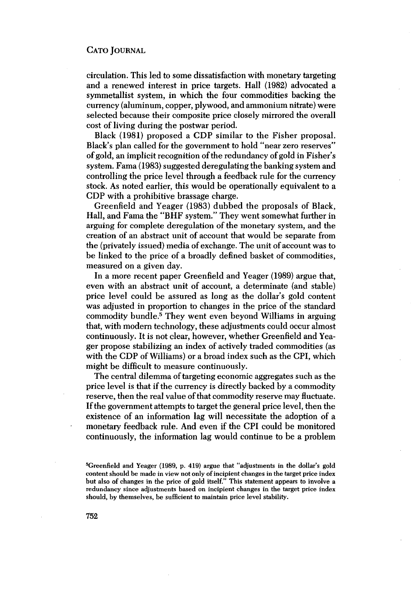circulation. This led to some dissatisfaction with monetary targeting and a renewed interest in price targets. Hall (1982) advocated a symmetallist system, in which the four commodities backing the currency (aluminum, copper, plywood, and ammonium nitrate) were selected because their composite price closely mirrored the overall cost of living during the postwar period.

Black (1981) proposed a CDP similar to the Fisher proposal. Black's plan called for the government to hold "near zero reserves" of gold, an implicit recognition of the redundancy of gold in Fisher's system. Fama (1983) suggested deregulating the banking system andcontrolling the price level through a feedback rule for the currency stock. As noted earlier, this would be operationally equivalent to a CDP with a prohibitive brassage charge.

Greenfield and Yeager (1983) dubbed the proposals of Black, Hall, and Fama the "BHF system." They went somewhat further in arguing for complete deregulation of the monetary system, and the creation of an abstract unit of account that would be separate from the (privately issued) media of exchange. The unit of account was to be linked to the price of a broadly defined basket of commodities, measured on a given day.

In a more recent paper Greenfield and Yeager (1989) argue that, even with an abstract unit of account, a determinate (and stable) price level could be assured as long as the dollar's gold content was adjusted in proportion to changes in the price of the standard commodity bundle.<sup>5</sup> They went even beyond Williams in arguing that, with modern technology, these adjustments could occur almost continuously. It is not clear, however, whether Greenfield and Yeager propose stabilizing an index of actively traded commodities (as with the CDP of Williams) or a broad index such as the CPI, which might be difficult to measure continuously.

The central dilemma of targeting economic aggregates such as the price level is that if the currency is directly backed by a commodity reserve, then the real value of that commodity reserve may fluctuate. If the government attempts to target the general price level, then the existence of an information lag will necessitate the adoption of a monetary feedback rule. And even if the CPI could be monitored continuously, the information lag would continue to be a problem

<sup>&</sup>lt;sup>5</sup>Greenfield and Yeager (1989, p. 419) argue that "adjustments in the dollar's gold content should be made in view not only of incipient changes in the target price index but also of changes in the price of gold itself." This statement appears to involve a redundancy since adjustments based on incipient changes in the target price index should, by themselves, be sufficient to maintain price level stability.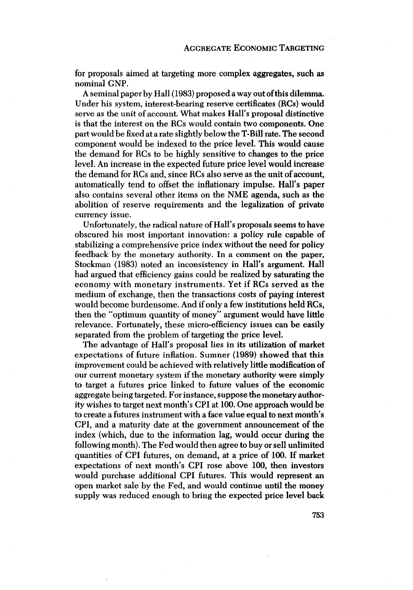for proposals aimed at targeting more complex aggregates, such as nominal GNP.

A seminal paper by Hall (1983) proposed a way out of this dilemma. Under his system, interest-bearing reserve certificates (RCs) would serve as the unit of account. What makes Hall's proposal distinctive is that the interest on the RCs would contain two components. One part would be fixed at a rate slightly below the T-Bill rate. The second component would be indexed to the price level. This would cause the demand for RCs to be highly sensitive to changes to the price level. An increase in the expected future price level would increase the demand for RCs and, since RCs also serve as the unit of account, automatically tend to offset the inflationary impulse. Hall's paper also contains several other items on the NME agenda, such as the abolition of reserve requirements and the legalization of private currency issue.

Unfortunately, the radical nature of Hall's proposals seems to have obscured his most important innovation: a policy rule capable of stabilizing a comprehensive price index without the need for policy feedback by the monetary authority. In a comment on the paper, Stockman (1983) noted an inconsistency in Hall's argument. Hall had argued that efficiency gains could be realized by saturating the economy with monetary instruments. Yet if RCs served as the medium of exchange, then the transactions costs of paying interest would become burdensome. And if only a few institutions held RCs, then the "optimum quantity of money" argument would have little relevance. Fortunately, these micro-efficiency issues can be easily separated from the problem of targeting the price level.

The advantage of Hall's proposal lies in its utilization of market expectations of future inflation. Sumner (1989) showed that this improvement could be achieved with relatively little modification of our current monetary system if the monetary authority were simply to target a futures price linked to future values of the economic aggregate being targeted. For instance, suppose the monetary authority wishes to target next month's CPI at 100. One approach would be to create a futures instrument with a face value equal to next month's CPI, and a maturity date at the government announcement of the index (which, due to the information lag, would occur during the following month). The Fed would then agree to buy or sell unlimited quantities of CPI futures, on demand, at a price of 100. If market expectations of next month's CPI rose above 100, then investors would purchase additional CPI futures. This would represent an open market sale by the Fed, and would continue until the money supply was reduced enough to bring the expected price level back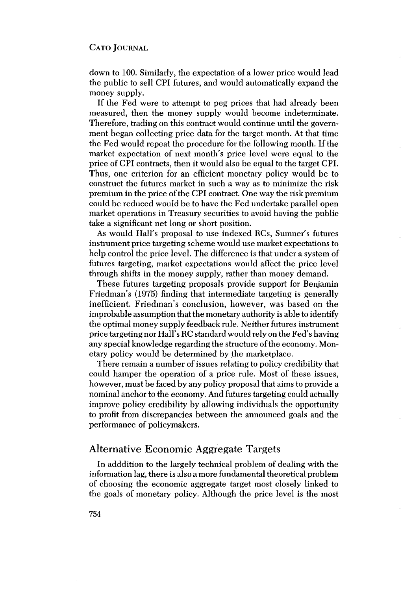down to 100. Similarly, the expectation of a lower price would lead the public to sell CPI futures, and would automatically expand the money supply.

If the Fed were to attempt to peg prices that had already been measured, then the money supply would become indeterminate. Therefore, trading on this contract would continue until the government began collecting price data for the target month. At that time the Fed would repeat the procedure for the following month. If the market expectation of next month's price level were equal to the price of CPI contracts, then it would also be equal to the target CPI. Thus, one criterion for an efficient monetary policy would be to construct the futures market in such a way as to minimize the risk premium in the price of the CPI contract. One way the risk premium could be reduced would be to have the Fed undertake parallel open market operations in Treasury securities to avoid having the public take a significant net long or short position.

As would Hall's proposal to use indexed RCs, Sumner's futures instrument price targeting scheme would use market expectations to help control the price level. The difference is that under a system of futures targeting, market expectations would affect the price level through shifts in the money supply, rather than money demand.

These futures targeting proposals provide support for Benjamin Friedman's (1975) finding that intermediate targeting is generally inefficient. Friedman's conclusion, however, was based on the improbable assumption that the monetary authority is able to identify the optimal money supply feedback rule. Neither futures instrument price targeting nor Hall's RC standard would rely on the Fed's having any special knowledge regarding the structure of the economy. Monetary policy would be determined by the marketplace.

There remain a number of issues relating to policy credibility that could hamper the operation of a price rule. Most of these issues, however, must be faced by any policy proposal that aims to provide a nominal anchor to the economy. And futures targeting could actually improve policy credibility by allowing individuals the opportunity to profit from discrepancies between the announced goals and the performance of policymakers.

# **Alternative Economic Aggregate Targets**

In adddition to the largely technical problem of dealing with the information lag, there is also a more fundamental theoretical problem of choosing the economic aggregate target most closely linked to the goals of monetary policy. Although the price level is the most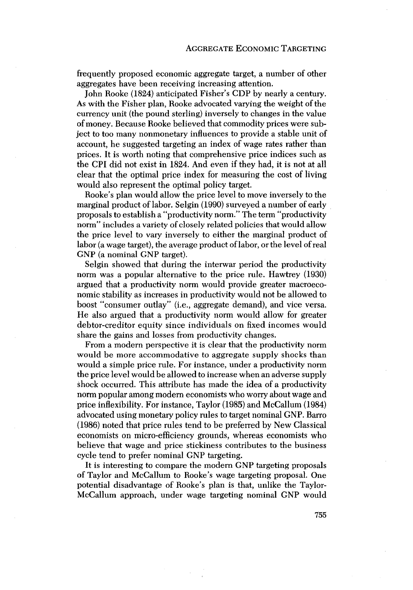frequently proposed economic aggregate target, a number of other aggregates have been receiving increasing attention.

John Rooke (1824) anticipated Fisher's CDP by nearly a century. As with the Fisher plan, Rooke advocated varying the weight of the currency unit (the pound sterling) inversely to changes in the value of money. Because Rooke believed that commodity prices were subject to too many nonmonetary influences to provide a stable unit of account, he suggested targeting an index of wage rates rather than prices. It is worth noting that comprehensive price indices such as the CPI did not exist in 1824. And even if they had, it is not at all clear that the optimal price index for measuring the cost of living would also represent the optimal policy target.

Rooke's plan would allow the price level to move inversely to the marginal product of labor. Selgin (1990) surveyed a number of early proposals to establish a "productivity norm." The term "productivity norm" includes a variety of closely related policies that would allow the price level to vary inversely to either the marginal product of labor (a wage target), the average product of labor, or the level of real GNP (a nominal GNP target).

Selgin showed that during the interwar period the productivity norm was a popular alternative to the price rule. Hawtrey (1930) argued that a productivity norm would provide greater macroeconomic stability as increases in productivity would not be allowed to boost "consumer outlay" (i.e., aggregate demand), and vice versa. He also argued that a productivity norm would allow for greater debtor-creditor equity since individuals on fixed incomes would share the gains and losses from productivity changes.

From a modern perspective it is clear that the productivity norm would be more accommodative to aggregate supply shocks than would a simple price rule. For instance, under a productivity norm the price level would be allowed to increase when an adverse supply shock occurred. This attribute has made the idea of a productivity norm popular among modern economists who worry about wage and price inflexibility. For instance, Taylor (1985) and McCallum (1984) advocated using monetary policy rules to target nominal GNP. Barro (1986) noted that price rules tend to be preferred by New Classical economists on micro-efficiency grounds, whereas economists who believe that wage and price stickiness contributes to the business cycle tend to prefer nominal GNP targeting.

It is interesting to compare the modern GNP targeting proposals of Taylor and McCallum to Rooke's wage targeting proposal. One potential disadvantage of Rooke's plan is that, unlike the Taylor-McCallum approach, under wage targeting nominal GNP would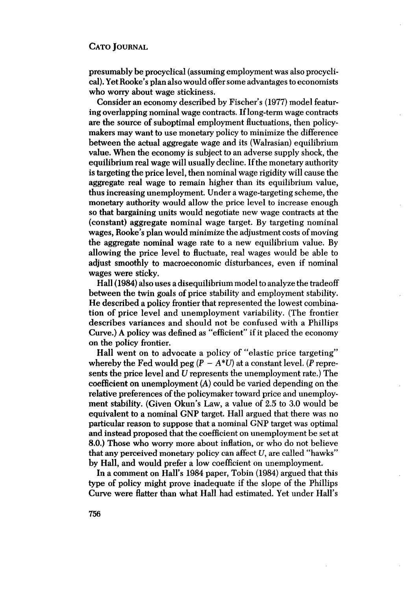presumably be procyclical (assuming employment was also procyclical). Yet Rooke's plan also would offer some advantages to economists who worry about wage stickiness.

Consider an economy described by Fischer's (1977) model featuring overlapping nominal wage contracts. If long-term wage contracts are the source of suboptimal employment fluctuations, then policymakers may want to use monetary policy to minimize the difference between the actual aggregate wage and its (Walrasian) equilibrium value. When the economy is subject to an adverse supply shock, the equilibrium real wage will usually decline. If the monetary authority is targeting the price level, then nominal wage rigidity will cause the aggregate real wage to remain higher than its equilibrium value, thus increasing unemployment. Under a wage-targeting scheme, the monetary authority would allow the price level to increase enough so that bargaining units would negotiate new wage contracts at the (constant) aggregate nominal wage target. By targeting nominal wages, Rooke's plan would minimize the adjustment costs of moving the aggregate nominal wage rate to a new equilibrium value. By allowing the price level to fluctuate, real wages would be able to adjust smoothly to macroeconomic disturbances, even if nominal wages were sticky.

Hall (1984) also uses a disequilibrium model to analyze the tradeoff between the twin goals of price stability and employment stability. He described a policy frontier that represented the lowest combination of price level and unemployment variability. (The frontier describes variances and should not be confused with a Phillips Curve.) A policy was defined as "efficient" if it placed the economy on the policy frontier.

Hall went on to advocate a policy of "elastic price targeting" whereby the Fed would peg  $(P - A^*U)$  at a constant level. (P represents the price level and U represents the unemployment rate.) The coefficient on unemployment  $(A)$  could be varied depending on the relative preferences of the policymaker toward price and unemployment stability. (Given Okun's Law, a value of 2.5 to 3.0 would be equivalent to a nominal GNP target. Hall argued that there was no particular reason to suppose that a nominal GNP target was optimal and instead proposed that the coefficient on unemployment be set at 8.0.) Those who worry more about inflation, or who do not believe that any perceived monetary policy can affect  $U$ , are called "hawks" by Hall, and would prefer a low coefficient on unemployment.

In a comment on Hall's 1984 paper, Tobin (1984) argued that this type of policy might prove inadequate if the slope of the Phillips Curve were flatter than what Hall had estimated. Yet under Hall's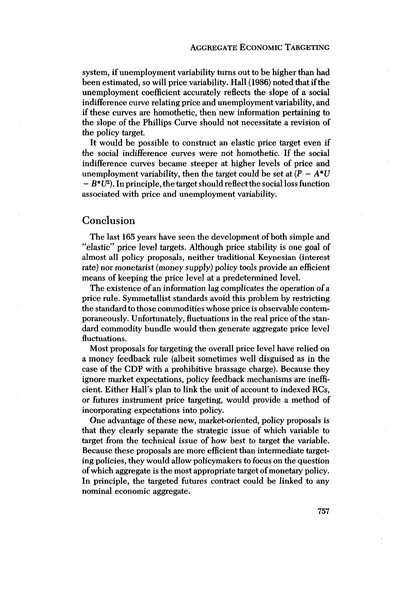system, if unemployment variability turns out to be higher than had been estimated, so will price variability. Hall (1986) noted that if the unemployment coefficient accurately reflects the slope of a social indifference curve relating price and unemployment variability, and if these curves are homothetic, then new information pertaining to the slope of the Phillips Curve should not necessitate a revision of the policy target.

It would be possible to construct an elastic price target even if the social indifference curves were not homothetic. If the social indifference curves became steeper at higher levels of price and unemployment variability, then the target could be set at  $(P - A^*U)$  $-B^*U^2$ ). In principle, the target should reflect the social loss function

associated with price and unemployment variability.

# Conclusion

The last 165 years have seen the development of both simple and "elastic" price level targets. Although price stability is one goal of almost all policy proposals, neither traditional Keynesian (interest rate) nor monetarist (money supply) policy tools provide an efficient means of keeping the price level at a predetermined level.

The existence of an information lag complicates the operation of a price rule. Symmetallist standards avoid this problem by restricting the standard to those commodities whose price is observable contemporaneously. Unfortunately, fluctuations in the real price of the standard commodity bundle would then generate aggregate price level fluctuations.

Most proposals for targeting the overall price level have relied on a money feedback rule (albeit sometimes well disguised as in the case of the CDP with a prohibitive brassage charge). Because they ignore market expectations, policy feedback mechanisms are inefficient. Either Hall's plan to link the unit of account to indexed RCs, or futures instrument price targeting, would provide a method of incorporating expectations into policy.

One advantage of these new, market-oriented, policy proposals is that they clearly separate the strategic issue of which variable to target from the technical issue of how best to target the variable. Because these proposals are more efficient than intermediate targeting policies, they would allow policymakers to focus on the question of which aggregate is the most appropriate target of monetary policy. In principle, the targeted futures contract could be linked to any nominal economic aggregate.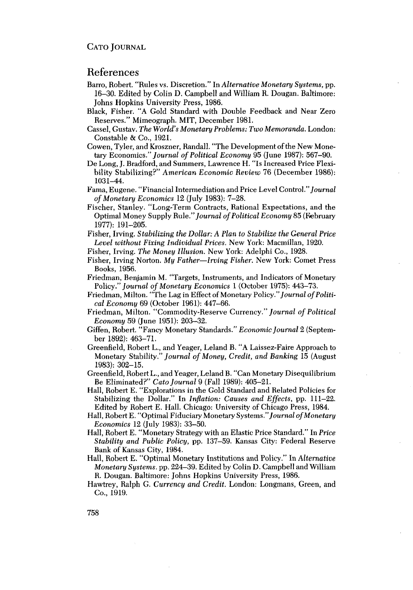# References

- Barro, Robert. "Rules vs. Discretion." In Alternative Monetary Systems, pp. 16-30. Edited by Colin D. Campbell and William R. Dougan. Baltimore: Johns Hopkins University Press, 1986.
- Black, Fisher. "A Gold Standard with Double Feedback and Near Zero Reserves." Mimeograph. MIT, December 1981.
- Cassel, Gustav. The World's Monetary Problems: Two Memoranda. London: Constable & Co., 1921.
- Cowen, Tyler, and Kroszner, Randall. "The Development of the New Monetary Economics." Journal of Political Economy 95 (June 1987): 567-90.
- De Long, J. Bradford, and Summers, Lawrence H. "Is Increased Price Flexibility Stabilizing?" American Economic Review 76 (December 1986):  $1031 - 44.$
- Fama, Eugene. "Financial Intermediation and Price Level Control." Journal of Monetary Economics 12 (July 1983): 7-28.
- Fischer, Stanley. "Long-Term Contracts, Rational Expectations, and the Optimal Money Supply Rule." Journal of Political Economy 85 (February 1977): 191-205.
- Fisher, Irving. Stabilizing the Dollar: A Plan to Stabilize the General Price Level without Fixing Individual Prices. New York: Macmillan, 1920.
- Fisher, Irving. The Money Illusion. New York: Adelphi Co., 1928.
- Fisher, Irving Norton. My Father-Irving Fisher. New York: Comet Press Books, 1956.
- Friedman, Benjamin M. "Targets, Instruments, and Indicators of Monetary Policy." Journal of Monetary Economics 1 (October 1975): 443-73.
- Friedman, Milton. "The Lag in Effect of Monetary Policy." Journal of Political Economy 69 (October 1961): 447–66.
- Friedman, Milton. "Commodity-Reserve Currency." Journal of Political Economy 59 (June 1951): 203-32.
- Giffen, Robert. "Fancy Monetary Standards." Economic Journal 2 (September 1892): 463-71.
- Greenfield, Robert L., and Yeager, Leland B. "A Laissez-Faire Approach to Monetary Stability." Journal of Money, Credit, and Banking 15 (August 1983): 302-15.
- Greenfield, Robert L., and Yeager, Leland B. "Can Monetary Disequilibrium Be Eliminated?" Cato Journal 9 (Fall 1989): 405-21.
- Hall, Robert E. "Explorations in the Gold Standard and Related Policies for Stabilizing the Dollar." In Inflation: Causes and Effects, pp. 111–22. Edited by Robert E. Hall. Chicago: University of Chicago Press, 1984.
- Hall, Robert E. "Optimal Fiduciary Monetary Systems." Journal of Monetary *Economics* 12 (July 1983): 33–50.
- Hall, Robert E. "Monetary Strategy with an Elastic Price Standard." In Price Stability and Public Policy, pp. 137–59. Kansas City: Federal Reserve Bank of Kansas City, 1984.
- Hall, Robert E. "Optimal Monetary Institutions and Policy." In Alternative Monetary Systems. pp. 224-39. Edited by Colin D. Campbell and William R. Dougan. Baltimore: Johns Hopkins University Press, 1986.
- Hawtrey, Ralph G. Currency and Credit. London: Longmans, Green, and Co., 1919.